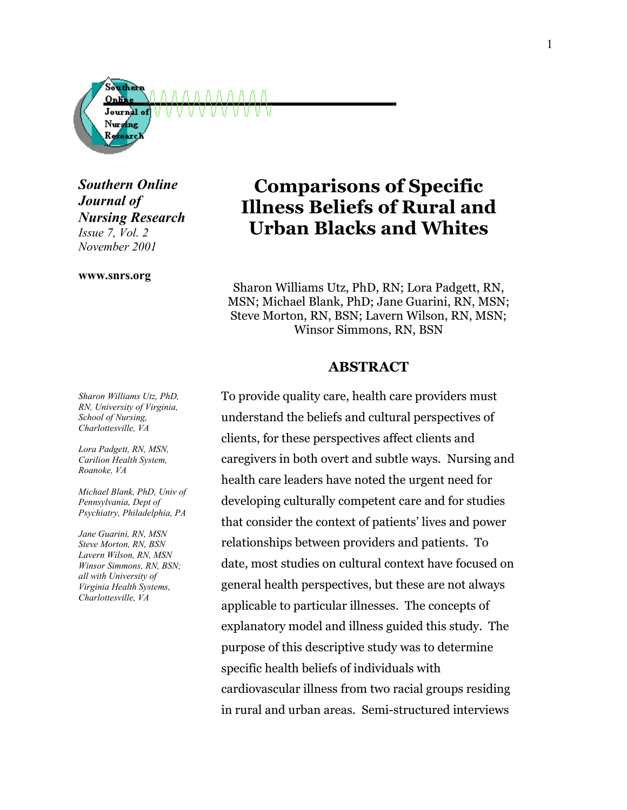

*Southern Online Journal of Nursing Research Issue 7, Vol. 2 November 2001*

#### **www.snrs.org**

# **Comparisons of Specific Illness Beliefs of Rural and Urban Blacks and Whites**

Sharon Williams Utz, PhD, RN; Lora Padgett, RN, MSN; Michael Blank, PhD; Jane Guarini, RN, MSN; Steve Morton, RN, BSN; Lavern Wilson, RN, MSN; Winsor Simmons, RN, BSN

### **ABSTRACT**

To provide quality care, health care providers must understand the beliefs and cultural perspectives of clients, for these perspectives affect clients and caregivers in both overt and subtle ways. Nursing and health care leaders have noted the urgent need for developing culturally competent care and for studies that consider the context of patients' lives and power relationships between providers and patients. To date, most studies on cultural context have focused on general health perspectives, but these are not always applicable to particular illnesses. The concepts of explanatory model and illness guided this study. The purpose of this descriptive study was to determine specific health beliefs of individuals with cardiovascular illness from two racial groups residing in rural and urban areas. Semi-structured interviews

*Sharon Williams Utz, PhD, RN, University of Virginia, School of Nursing, Charlottesville, VA* 

*Lora Padgett, RN, MSN, Carilion Health System, Roanoke, VA* 

*Michael Blank, PhD, Univ of Pennsylvania, Dept of Psychiatry, Philadelphia, PA* 

*Jane Guarini, RN, MSN Steve Morton, RN, BSN Lavern Wilson, RN, MSN Winsor Simmons, RN, BSN; all with University of Virginia Health Systems, Charlottesville, VA*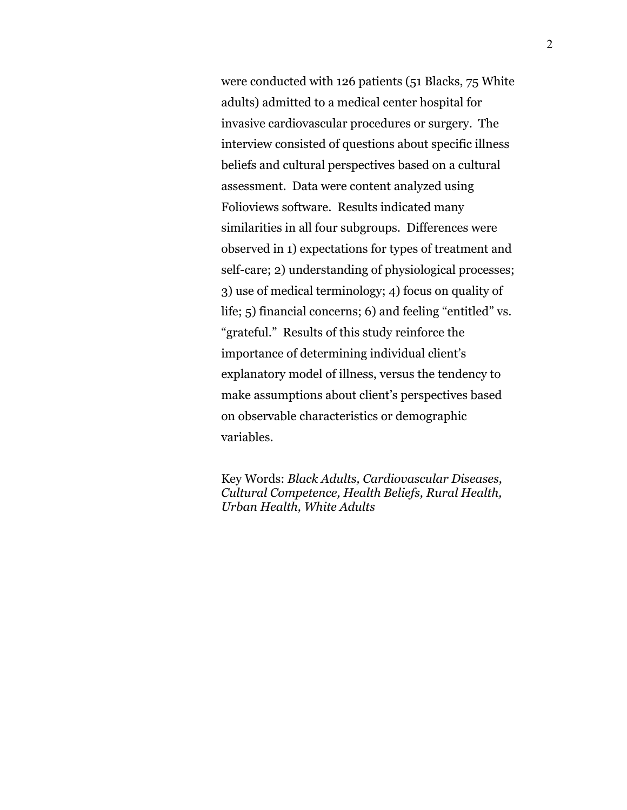were conducted with 126 patients (51 Blacks, 75 White adults) admitted to a medical center hospital for invasive cardiovascular procedures or surgery. The interview consisted of questions about specific illness beliefs and cultural perspectives based on a cultural assessment. Data were content analyzed using Folioviews software. Results indicated many similarities in all four subgroups. Differences were observed in 1) expectations for types of treatment and self-care; 2) understanding of physiological processes; 3) use of medical terminology; 4) focus on quality of life; 5) financial concerns; 6) and feeling "entitled" vs. "grateful." Results of this study reinforce the importance of determining individual client's explanatory model of illness, versus the tendency to make assumptions about client's perspectives based on observable characteristics or demographic variables.

Key Words: *Black Adults, Cardiovascular Diseases, Cultural Competence, Health Beliefs, Rural Health, Urban Health, White Adults*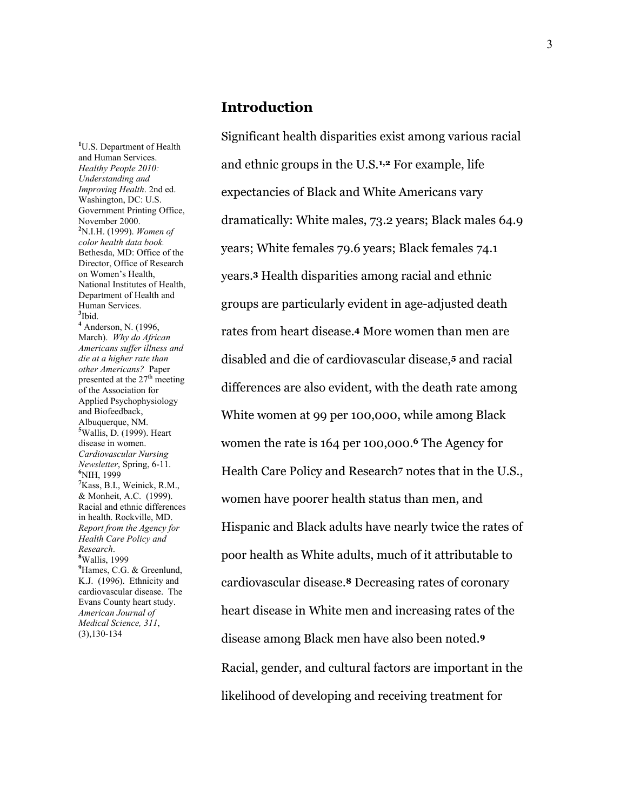## **Introduction**

**1** U.S. Department of Health and Human Services. *Healthy People 2010: Understanding and Improving Health*. 2nd ed. Washington, DC: U.S. Government Printing Office, November 2000. **2** N.I.H. (1999). *Women of color health data book.* Bethesda, MD: Office of the Director, Office of Research on Women's Health, National Institutes of Health, Department of Health and Human Services. **3** Ibid. **<sup>4</sup>** Anderson, N. (1996, March). *Why do African Americans suffer illness and die at a higher rate than other Americans?* Paper presented at the  $27<sup>th</sup>$  meeting of the Association for Applied Psychophysiology and Biofeedback, Albuquerque, NM. **5** Wallis, D. (1999). Heart disease in women. *Cardiovascular Nursing Newsletter*, Spring, 6-11. **<sup>6</sup>** NIH, 1999 **7** Kass, B.I., Weinick, R.M., & Monheit, A.C. (1999). Racial and ethnic differences in health. Rockville, MD. *Report from the Agency for Health Care Policy and Research*. **<sup>8</sup>** Wallis, 1999 <sup>9</sup> Hames, C.G. & Greenlund, K.J. (1996). Ethnicity and cardiovascular disease. The Evans County heart study. *American Journal of Medical Science, 311*, (3),130-134

Significant health disparities exist among various racial and ethnic groups in the U.S.**1,2** For example, life expectancies of Black and White Americans vary dramatically: White males, 73.2 years; Black males 64.9 years; White females 79.6 years; Black females 74.1 years.**3** Health disparities among racial and ethnic groups are particularly evident in age-adjusted death rates from heart disease.**4** More women than men are disabled and die of cardiovascular disease,**5** and racial differences are also evident, with the death rate among White women at 99 per 100,000, while among Black women the rate is 164 per 100,000.**6** The Agency for Health Care Policy and Research**7** notes that in the U.S., women have poorer health status than men, and Hispanic and Black adults have nearly twice the rates of poor health as White adults, much of it attributable to cardiovascular disease.**8** Decreasing rates of coronary heart disease in White men and increasing rates of the disease among Black men have also been noted.**<sup>9</sup>** Racial, gender, and cultural factors are important in the likelihood of developing and receiving treatment for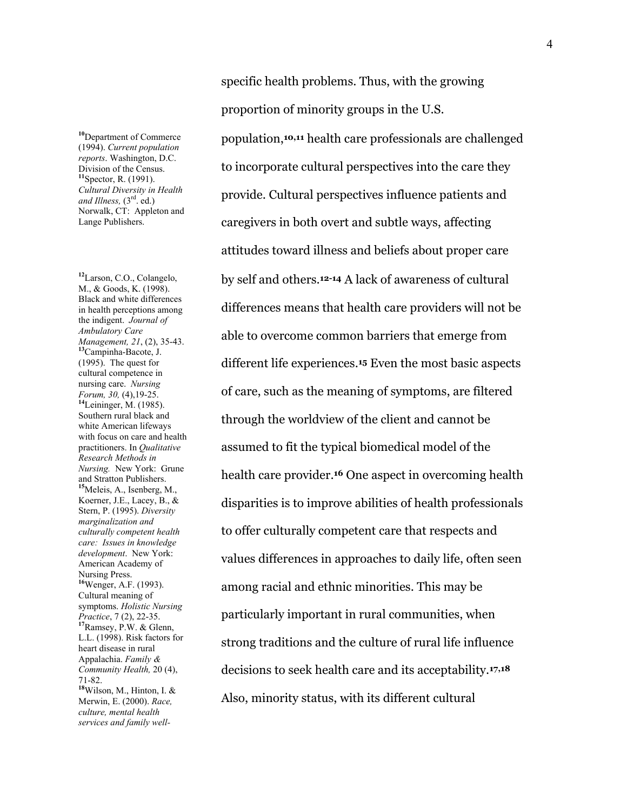**<sup>10</sup>**Department of Commerce (1994). *Current population reports*. Washington, D.C. Division of the Census. **<sup>11</sup>**Spector, R. (1991). *Cultural Diversity in Health and Illness,* (3rd. ed.) Norwalk, CT: Appleton and Lange Publishers.

**<sup>12</sup>**Larson, C.O., Colangelo, M., & Goods, K. (1998). Black and white differences in health perceptions among the indigent. *Journal of Ambulatory Care Management, 21*, (2), 35-43. **<sup>13</sup>**Campinha-Bacote, J. (1995). The quest for cultural competence in nursing care. *Nursing Forum, 30,* (4),19-25. **<sup>14</sup>**Leininger, M. (1985). Southern rural black and white American lifeways with focus on care and health practitioners. In *Qualitative Research Methods in Nursing.* New York: Grune and Stratton Publishers. **<sup>15</sup>**Meleis, A., Isenberg, M., Koerner, J.E., Lacey, B., & Stern, P. (1995). *Diversity marginalization and culturally competent health care: Issues in knowledge development*. New York: American Academy of Nursing Press. **<sup>16</sup>**Wenger, A.F. (1993). Cultural meaning of symptoms. *Holistic Nursing Practice*, 7 (2), 22-35. **<sup>17</sup>**Ramsey, P.W. & Glenn, L.L. (1998). Risk factors for heart disease in rural Appalachia. *Family & Community Health,* 20 (4), 71-82. **<sup>18</sup>**Wilson, M., Hinton, I. & Merwin, E. (2000). *Race, culture, mental health services and family well-* specific health problems. Thus, with the growing proportion of minority groups in the U.S.

population,**10,11** health care professionals are challenged to incorporate cultural perspectives into the care they provide. Cultural perspectives influence patients and caregivers in both overt and subtle ways, affecting attitudes toward illness and beliefs about proper care by self and others.**12-14** A lack of awareness of cultural differences means that health care providers will not be able to overcome common barriers that emerge from different life experiences.**15** Even the most basic aspects of care, such as the meaning of symptoms, are filtered through the worldview of the client and cannot be assumed to fit the typical biomedical model of the health care provider.**16** One aspect in overcoming health disparities is to improve abilities of health professionals to offer culturally competent care that respects and values differences in approaches to daily life, often seen among racial and ethnic minorities. This may be particularly important in rural communities, when strong traditions and the culture of rural life influence decisions to seek health care and its acceptability.**17,18** Also, minority status, with its different cultural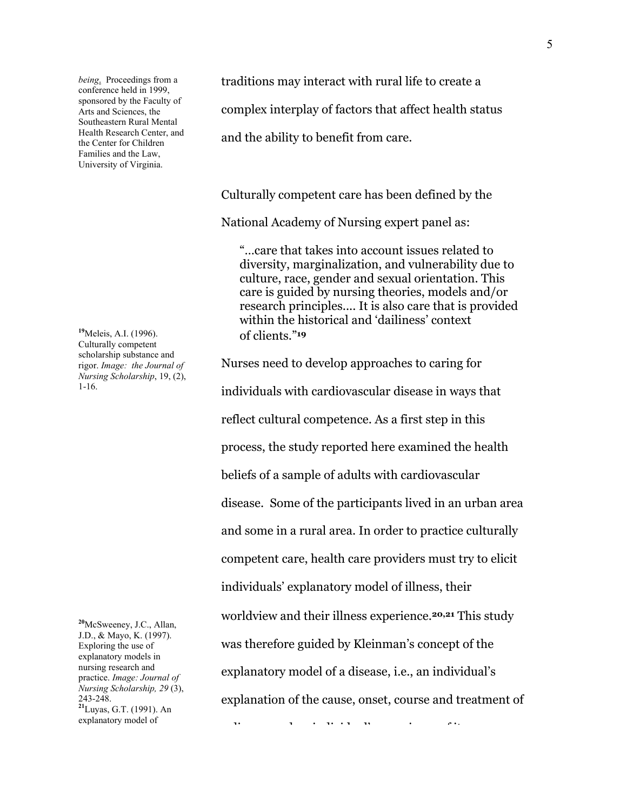*being*. Proceedings from a conference held in 1999, sponsored by the Faculty of Arts and Sciences, the Southeastern Rural Mental Health Research Center, and the Center for Children Families and the Law, University of Virginia.

**<sup>19</sup>**Meleis, A.I. (1996). Culturally competent scholarship substance and rigor. *Image: the Journal of Nursing Scholarship*, 19, (2), 1-16.

**<sup>20</sup>**McSweeney, J.C., Allan, J.D., & Mayo, K. (1997). Exploring the use of explanatory models in nursing research and practice. *Image: Journal of Nursing Scholarship, 29* (3), 243-248. **<sup>21</sup>**Luyas, G.T. (1991). An explanatory model of

traditions may interact with rural life to create a

complex interplay of factors that affect health status

and the ability to benefit from care.

Culturally competent care has been defined by the

National Academy of Nursing expert panel as:

"…care that takes into account issues related to diversity, marginalization, and vulnerability due to culture, race, gender and sexual orientation. This care is guided by nursing theories, models and/or research principles.... It is also care that is provided within the historical and 'dailiness' context of clients."**<sup>19</sup>**

Nurses need to develop approaches to caring for individuals with cardiovascular disease in ways that reflect cultural competence. As a first step in this process, the study reported here examined the health beliefs of a sample of adults with cardiovascular disease. Some of the participants lived in an urban area and some in a rural area. In order to practice culturally competent care, health care providers must try to elicit individuals' explanatory model of illness, their worldview and their illness experience.**20,21** This study was therefore guided by Kleinman's concept of the explanatory model of a disease, i.e., an individual's explanation of the cause, onset, course and treatment of

 $\ddot{a}$  if it is the interval in the contract of  $\ddot{a}$  is the interval interval in the interval interval in the interval interval in  $\ddot{a}$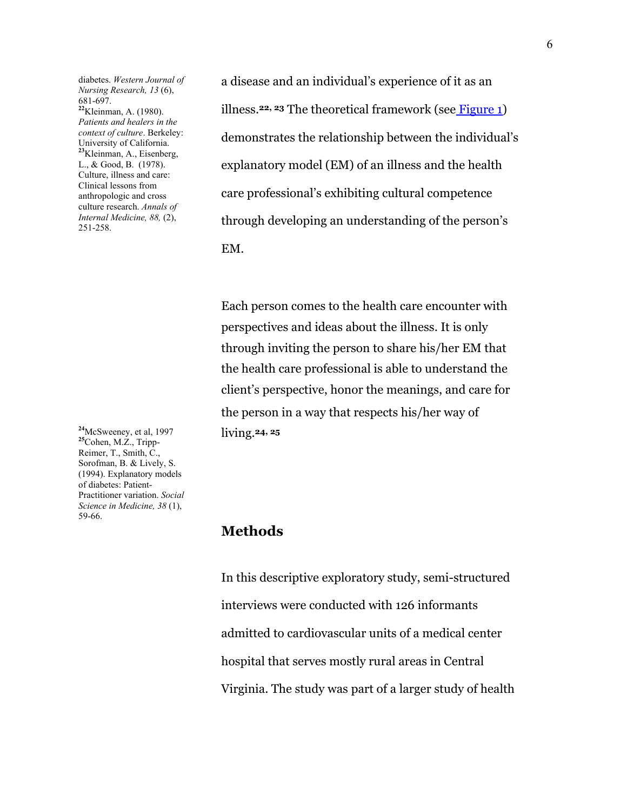diabetes. *Western Journal of Nursing Research, 13* (6), 681-697. **<sup>22</sup>**Kleinman, A. (1980). *Patients and healers in the context of culture*. Berkeley: University of California. **<sup>23</sup>**Kleinman, A., Eisenberg, L., & Good, B. (1978). Culture, illness and care: Clinical lessons from anthropologic and cross culture research. *Annals of Internal Medicine, 88,* (2), 251-258.

**<sup>24</sup>**McSweeney, et al, 1997 **<sup>25</sup>**Cohen, M.Z., Tripp-Reimer, T., Smith, C., Sorofman, B. & Lively, S. (1994). Explanatory models of diabetes: Patient-Practitioner variation. *Social Science in Medicine, 38* (1), 59-66.

a disease and an individual's experience of it as an illness.**22, 23** The theoretical framework (see Figure 1) demonstrates the relationship between the individual's explanatory model (EM) of an illness and the health care professional's exhibiting cultural competence through developing an understanding of the person's EM.

 Each person comes to the health care encounter with perspectives and ideas about the illness. It is only through inviting the person to share his/her EM that the health care professional is able to understand the client's perspective, honor the meanings, and care for the person in a way that respects his/her way of living.**24, 25**

# **Methods**

 In this descriptive exploratory study, semi-structured interviews were conducted with 126 informants admitted to cardiovascular units of a medical center hospital that serves mostly rural areas in Central Virginia. The study was part of a larger study of health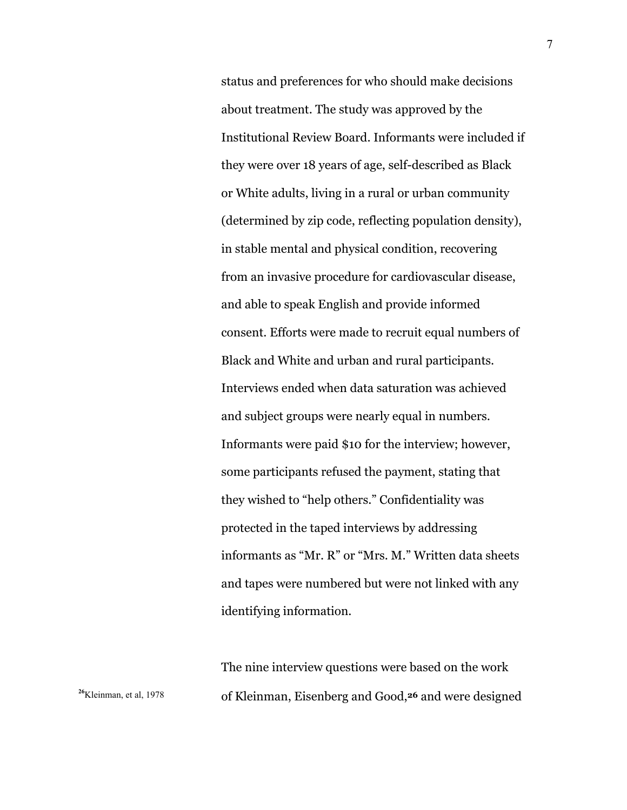status and preferences for who should make decisions about treatment. The study was approved by the Institutional Review Board. Informants were included if they were over 18 years of age, self-described as Black or White adults, living in a rural or urban community (determined by zip code, reflecting population density), in stable mental and physical condition, recovering from an invasive procedure for cardiovascular disease, and able to speak English and provide informed consent. Efforts were made to recruit equal numbers of Black and White and urban and rural participants. Interviews ended when data saturation was achieved and subject groups were nearly equal in numbers. Informants were paid \$10 for the interview; however, some participants refused the payment, stating that they wished to "help others." Confidentiality was protected in the taped interviews by addressing informants as "Mr. R" or "Mrs. M." Written data sheets and tapes were numbered but were not linked with any identifying information.

The nine interview questions were based on the work <sup>26</sup>Kleinman, et al, 1978 of Kleinman, Eisenberg and Good,<sup>26</sup> and were designed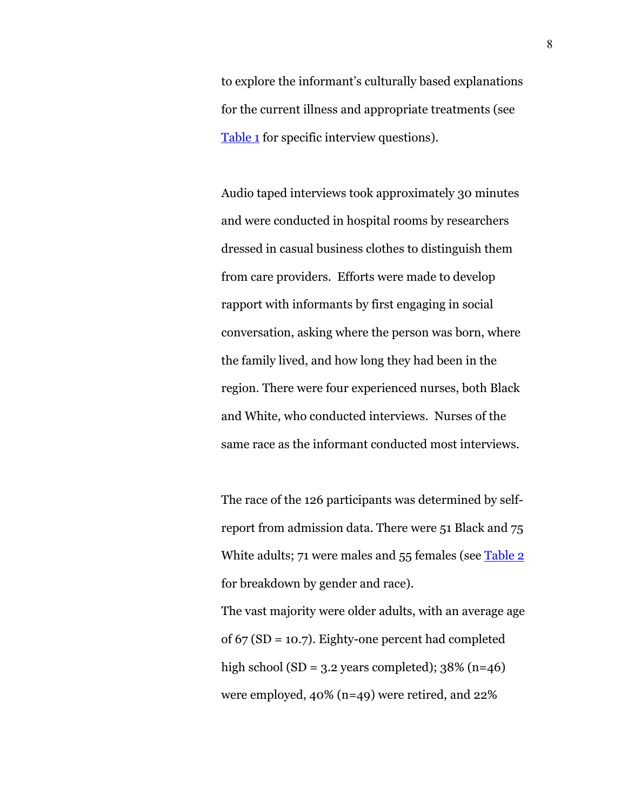to explore the informant's culturally based explanations for the current illness and appropriate treatments (see Table 1 for specific interview questions).

Audio taped interviews took approximately 30 minutes and were conducted in hospital rooms by researchers dressed in casual business clothes to distinguish them from care providers. Efforts were made to develop rapport with informants by first engaging in social conversation, asking where the person was born, where the family lived, and how long they had been in the region. There were four experienced nurses, both Black and White, who conducted interviews. Nurses of the same race as the informant conducted most interviews.

The race of the 126 participants was determined by selfreport from admission data. There were 51 Black and 75 White adults; 71 were males and 55 females (see Table 2 for breakdown by gender and race).

The vast majority were older adults, with an average age of 67 (SD = 10.7). Eighty-one percent had completed high school (SD =  $3.2$  years completed);  $38\%$  (n=46) were employed, 40% (n=49) were retired, and 22%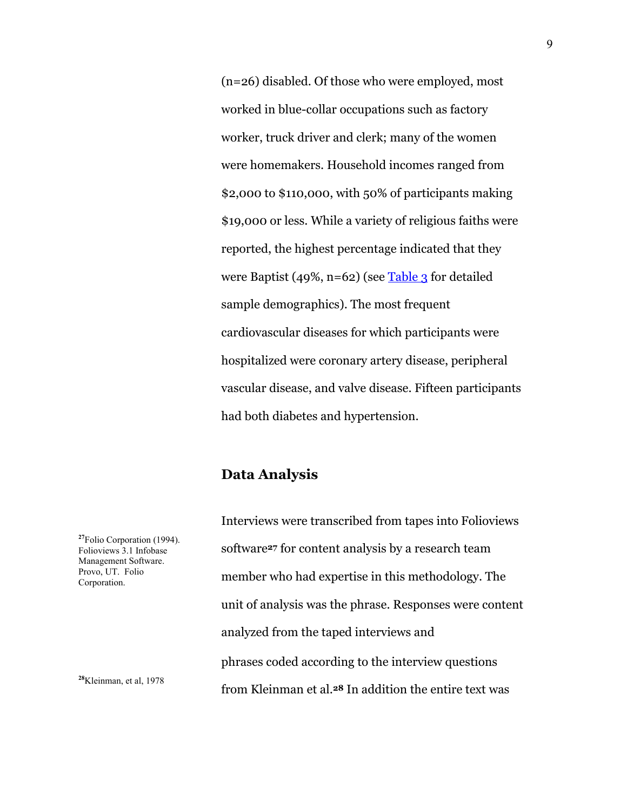(n=26) disabled. Of those who were employed, most worked in blue-collar occupations such as factory worker, truck driver and clerk; many of the women were homemakers. Household incomes ranged from \$2,000 to \$110,000, with 50% of participants making \$19,000 or less. While a variety of religious faiths were reported, the highest percentage indicated that they were Baptist (49%, n=62) (see Table 3 for detailed sample demographics). The most frequent cardiovascular diseases for which participants were hospitalized were coronary artery disease, peripheral vascular disease, and valve disease. Fifteen participants had both diabetes and hypertension.

# **Data Analysis**

Interviews were transcribed from tapes into Folioviews software**27** for content analysis by a research team member who had expertise in this methodology. The unit of analysis was the phrase. Responses were content analyzed from the taped interviews and phrases coded according to the interview questions from Kleinman et al.**28** In addition the entire text was

**<sup>27</sup>**Folio Corporation (1994). Folioviews 3.1 Infobase Management Software. Provo, UT. Folio Corporation.

**<sup>28</sup>**Kleinman, et al, 1978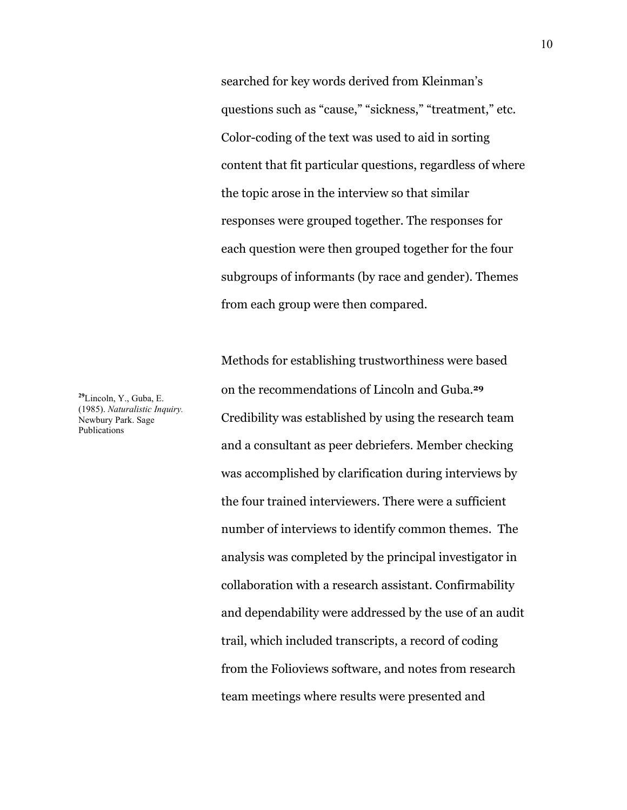searched for key words derived from Kleinman's questions such as "cause," "sickness," "treatment," etc. Color-coding of the text was used to aid in sorting content that fit particular questions, regardless of where the topic arose in the interview so that similar responses were grouped together. The responses for each question were then grouped together for the four subgroups of informants (by race and gender). Themes from each group were then compared.

Methods for establishing trustworthiness were based on the recommendations of Lincoln and Guba.**<sup>29</sup>** Credibility was established by using the research team and a consultant as peer debriefers. Member checking was accomplished by clarification during interviews by the four trained interviewers. There were a sufficient number of interviews to identify common themes. The analysis was completed by the principal investigator in collaboration with a research assistant. Confirmability and dependability were addressed by the use of an audit trail, which included transcripts, a record of coding from the Folioviews software, and notes from research team meetings where results were presented and

**<sup>29</sup>**Lincoln, Y., Guba, E. (1985). *Naturalistic Inquiry.*  Newbury Park. Sage Publications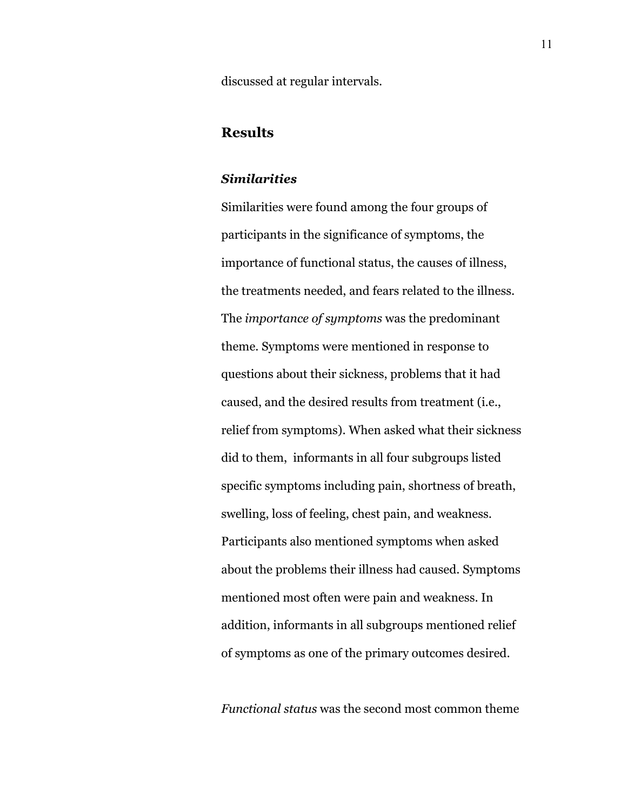discussed at regular intervals.

## **Results**

#### *Similarities*

Similarities were found among the four groups of participants in the significance of symptoms, the importance of functional status, the causes of illness, the treatments needed, and fears related to the illness. The *importance of symptoms* was the predominant theme. Symptoms were mentioned in response to questions about their sickness, problems that it had caused, and the desired results from treatment (i.e., relief from symptoms). When asked what their sickness did to them, informants in all four subgroups listed specific symptoms including pain, shortness of breath, swelling, loss of feeling, chest pain, and weakness. Participants also mentioned symptoms when asked about the problems their illness had caused. Symptoms mentioned most often were pain and weakness. In addition, informants in all subgroups mentioned relief of symptoms as one of the primary outcomes desired.

*Functional status* was the second most common theme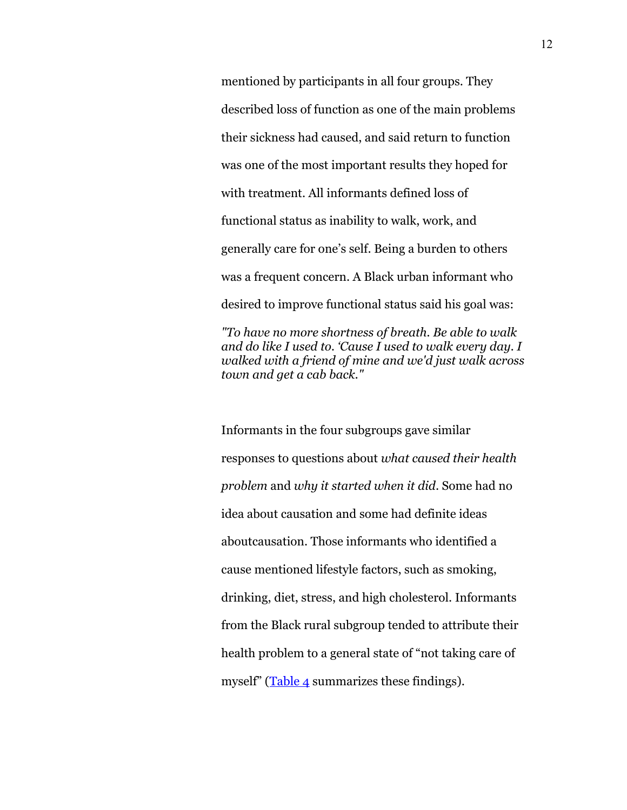mentioned by participants in all four groups. They described loss of function as one of the main problems their sickness had caused, and said return to function was one of the most important results they hoped for with treatment. All informants defined loss of functional status as inability to walk, work, and generally care for one's self. Being a burden to others was a frequent concern. A Black urban informant who desired to improve functional status said his goal was:

*"To have no more shortness of breath. Be able to walk and do like I used to. 'Cause I used to walk every day. I walked with a friend of mine and we'd just walk across town and get a cab back."* 

Informants in the four subgroups gave similar responses to questions about *what caused their health problem* and *why it started when it did*. Some had no idea about causation and some had definite ideas aboutcausation. Those informants who identified a cause mentioned lifestyle factors, such as smoking, drinking, diet, stress, and high cholesterol. Informants from the Black rural subgroup tended to attribute their health problem to a general state of "not taking care of myself" (Table 4 summarizes these findings).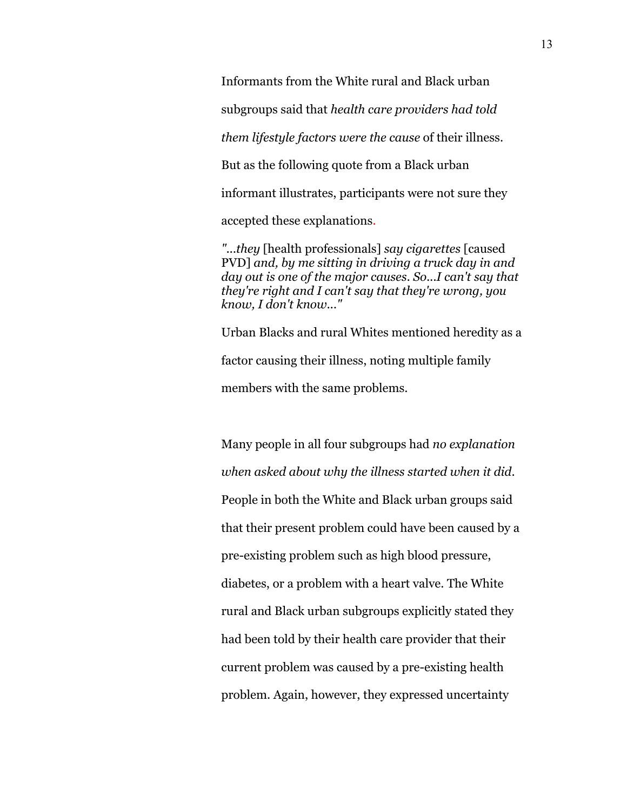Informants from the White rural and Black urban

subgroups said that *health care providers had told* 

*them lifestyle factors were the cause* of their illness.

But as the following quote from a Black urban

informant illustrates, participants were not sure they

accepted these explanations.

*"...they* [health professionals] *say cigarettes* [caused PVD] *and, by me sitting in driving a truck day in and day out is one of the major causes. So...I can't say that they're right and I can't say that they're wrong, you know, I don't know..."* 

Urban Blacks and rural Whites mentioned heredity as a factor causing their illness, noting multiple family members with the same problems.

Many people in all four subgroups had *no explanation when asked about why the illness started when it did*. People in both the White and Black urban groups said that their present problem could have been caused by a pre-existing problem such as high blood pressure, diabetes, or a problem with a heart valve. The White rural and Black urban subgroups explicitly stated they had been told by their health care provider that their current problem was caused by a pre-existing health problem. Again, however, they expressed uncertainty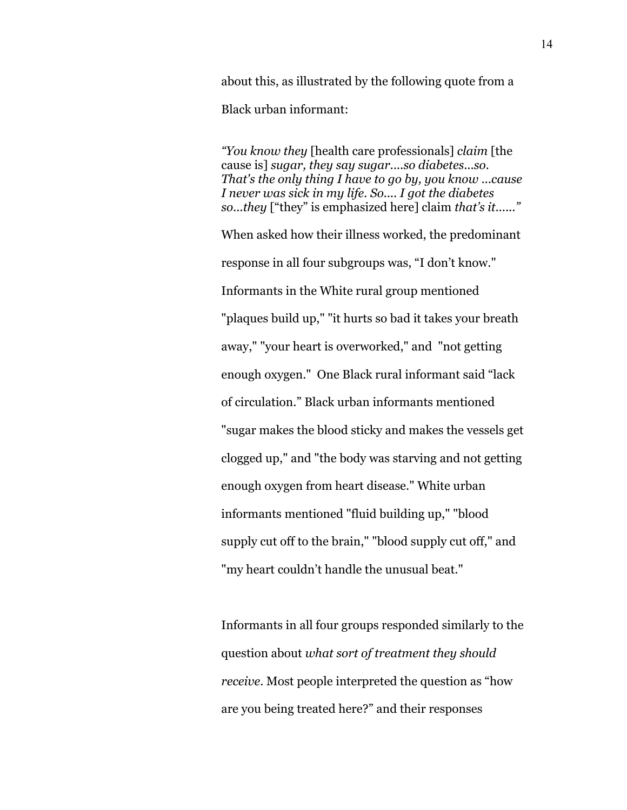about this, as illustrated by the following quote from a Black urban informant:

*"You know they* [health care professionals] *claim* [the cause is] *sugar, they say sugar....so diabetes...so. That's the only thing I have to go by, you know ...cause I never was sick in my life. So.... I got the diabetes so...they* ["they" is emphasized here] claim *that's it......"*  When asked how their illness worked, the predominant response in all four subgroups was, "I don't know." Informants in the White rural group mentioned

"plaques build up," "it hurts so bad it takes your breath away," "your heart is overworked," and "not getting enough oxygen." One Black rural informant said "lack of circulation." Black urban informants mentioned "sugar makes the blood sticky and makes the vessels get clogged up," and "the body was starving and not getting enough oxygen from heart disease." White urban informants mentioned "fluid building up," "blood supply cut off to the brain," "blood supply cut off," and "my heart couldn't handle the unusual beat."

Informants in all four groups responded similarly to the question about *what sort of treatment they should receive*. Most people interpreted the question as "how are you being treated here?" and their responses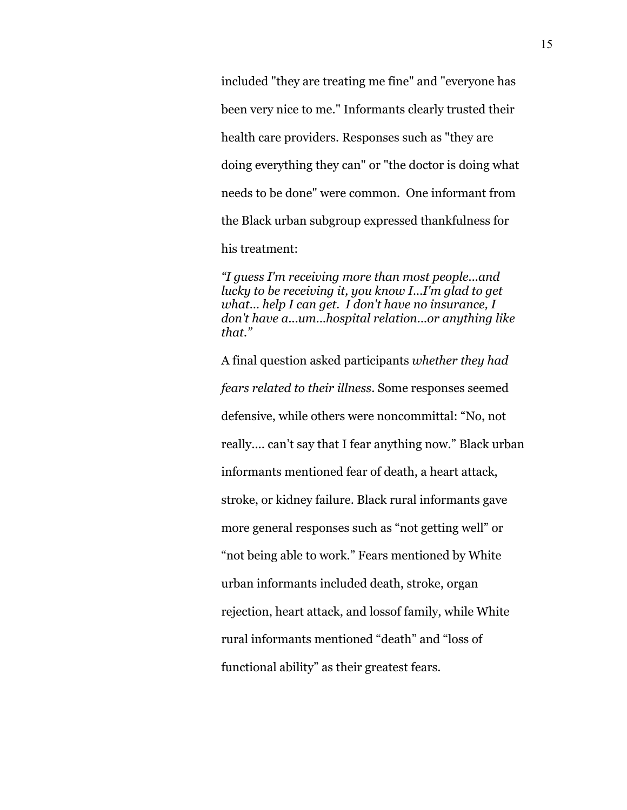included "they are treating me fine" and "everyone has been very nice to me." Informants clearly trusted their health care providers. Responses such as "they are doing everything they can" or "the doctor is doing what needs to be done" were common. One informant from the Black urban subgroup expressed thankfulness for his treatment:

*"I guess I'm receiving more than most people...and lucky to be receiving it, you know I...I'm glad to get what… help I can get. I don't have no insurance, I don't have a...um...hospital relation...or anything like that."* 

A final question asked participants *whether they had fears related to their illness*. Some responses seemed defensive, while others were noncommittal: "No, not really.... can't say that I fear anything now." Black urban informants mentioned fear of death, a heart attack, stroke, or kidney failure. Black rural informants gave more general responses such as "not getting well" or "not being able to work." Fears mentioned by White urban informants included death, stroke, organ rejection, heart attack, and lossof family, while White rural informants mentioned "death" and "loss of functional ability" as their greatest fears.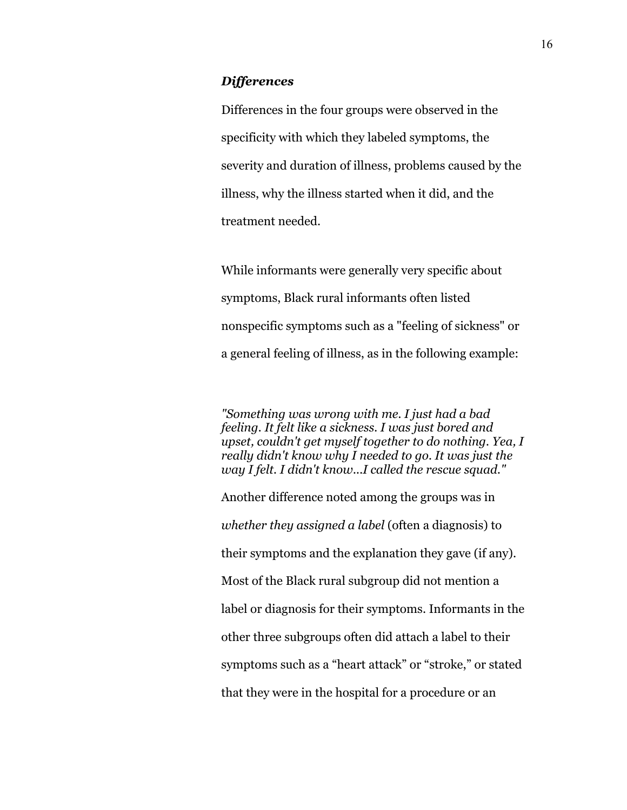#### *Differences*

Differences in the four groups were observed in the specificity with which they labeled symptoms, the severity and duration of illness, problems caused by the illness, why the illness started when it did, and the treatment needed.

While informants were generally very specific about symptoms, Black rural informants often listed nonspecific symptoms such as a "feeling of sickness" or a general feeling of illness, as in the following example:

*"Something was wrong with me. I just had a bad feeling. It felt like a sickness. I was just bored and upset, couldn't get myself together to do nothing. Yea, I really didn't know why I needed to go. It was just the way I felt. I didn't know...I called the rescue squad."* 

Another difference noted among the groups was in *whether they assigned a label* (often a diagnosis) to their symptoms and the explanation they gave (if any). Most of the Black rural subgroup did not mention a label or diagnosis for their symptoms. Informants in the other three subgroups often did attach a label to their symptoms such as a "heart attack" or "stroke," or stated that they were in the hospital for a procedure or an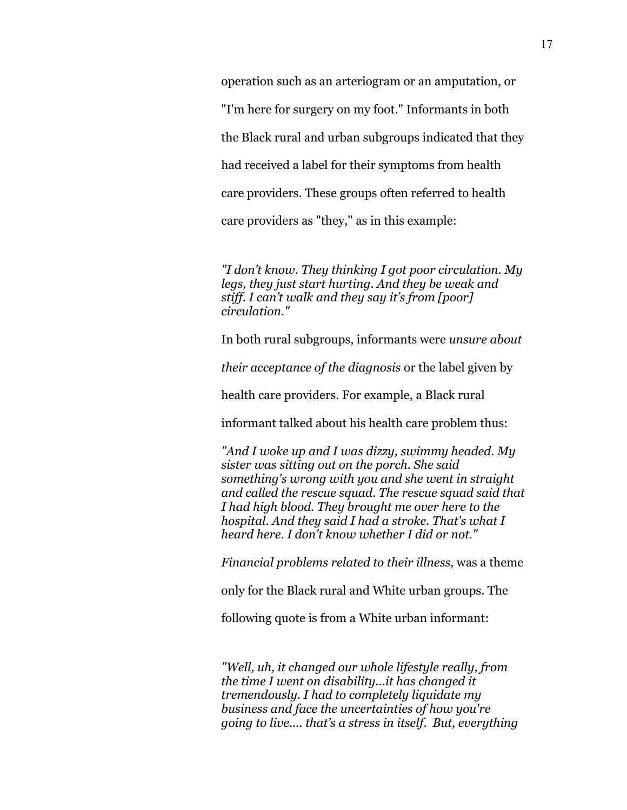operation such as an arteriogram or an amputation, or "I'm here for surgery on my foot." Informants in both the Black rural and urban subgroups indicated that they had received a label for their symptoms from health care providers. These groups often referred to health care providers as "they," as in this example:

*"I don't know. They thinking I got poor circulation. My legs, they just start hurting. And they be weak and stiff. I can't walk and they say it's from [poor] circulation."* 

In both rural subgroups, informants were *unsure about* 

*their acceptance of the diagnosis* or the label given by

health care providers. For example, a Black rural

informant talked about his health care problem thus:

*"And I woke up and I was dizzy, swimmy headed. My sister was sitting out on the porch. She said something's wrong with you and she went in straight and called the rescue squad. The rescue squad said that I had high blood. They brought me over here to the hospital. And they said I had a stroke. That's what I heard here. I don't know whether I did or not."* 

*Financial problems related to their illness,* was a theme

only for the Black rural and White urban groups. The

following quote is from a White urban informant:

*"Well, uh, it changed our whole lifestyle really, from the time I went on disability...it has changed it tremendously. I had to completely liquidate my business and face the uncertainties of how you're going to live.... that's a stress in itself. But, everything*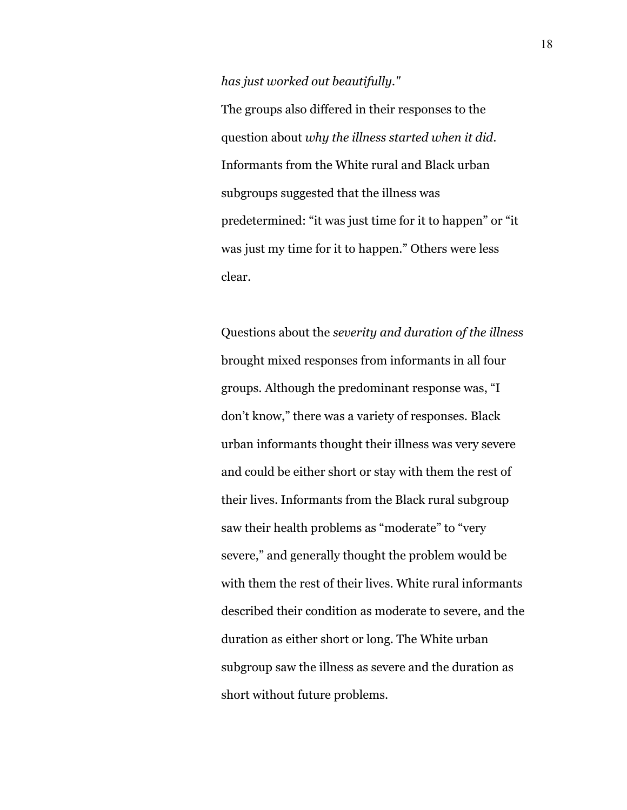*has just worked out beautifully."* 

The groups also differed in their responses to the question about *why the illness started when it did*. Informants from the White rural and Black urban subgroups suggested that the illness was predetermined: "it was just time for it to happen" or "it was just my time for it to happen." Others were less clear.

Questions about the *severity and duration of the illness* brought mixed responses from informants in all four groups. Although the predominant response was, "I don't know," there was a variety of responses. Black urban informants thought their illness was very severe and could be either short or stay with them the rest of their lives. Informants from the Black rural subgroup saw their health problems as "moderate" to "very severe," and generally thought the problem would be with them the rest of their lives. White rural informants described their condition as moderate to severe, and the duration as either short or long. The White urban subgroup saw the illness as severe and the duration as short without future problems.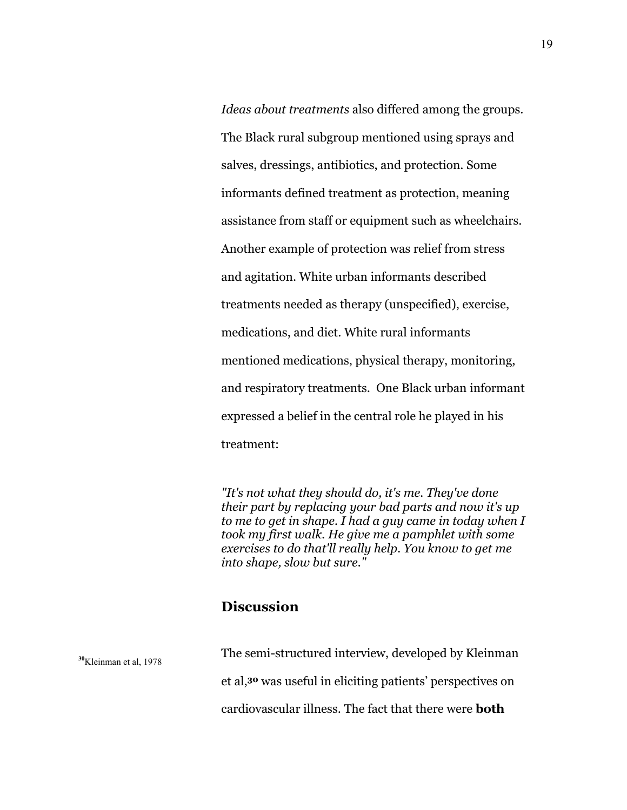*Ideas about treatments* also differed among the groups. The Black rural subgroup mentioned using sprays and salves, dressings, antibiotics, and protection. Some informants defined treatment as protection, meaning assistance from staff or equipment such as wheelchairs. Another example of protection was relief from stress and agitation. White urban informants described treatments needed as therapy (unspecified), exercise, medications, and diet. White rural informants mentioned medications, physical therapy, monitoring, and respiratory treatments. One Black urban informant expressed a belief in the central role he played in his treatment:

*"It's not what they should do, it's me. They've done their part by replacing your bad parts and now it's up to me to get in shape. I had a guy came in today when I took my first walk. He give me a pamphlet with some exercises to do that'll really help. You know to get me into shape, slow but sure."*

# **Discussion**

| $30$ Kleinman et al, 1978 | The semi-structured interview, developed by Kleinman                   |
|---------------------------|------------------------------------------------------------------------|
|                           | et al, <sup>30</sup> was useful in eliciting patients' perspectives on |
|                           | cardiovascular illness. The fact that there were <b>both</b>           |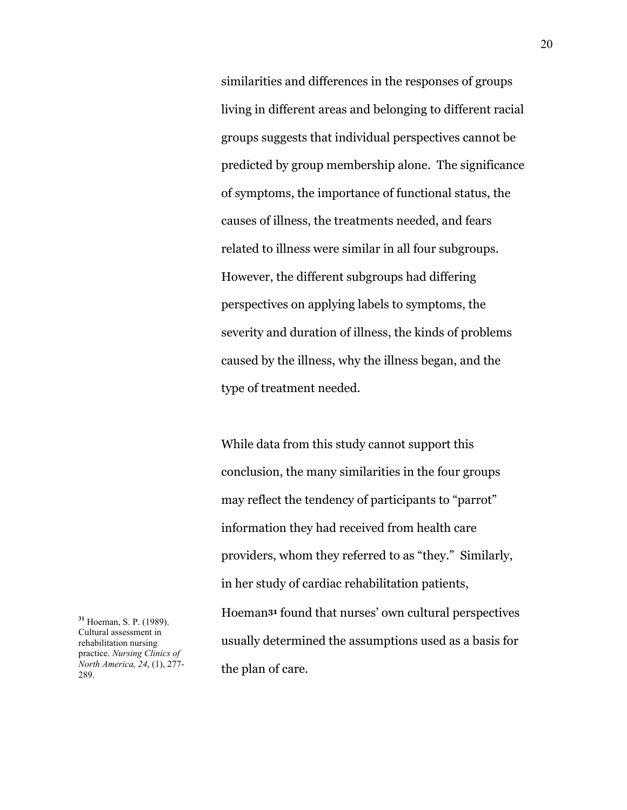similarities and differences in the responses of groups living in different areas and belonging to different racial groups suggests that individual perspectives cannot be predicted by group membership alone. The significance of symptoms, the importance of functional status, the causes of illness, the treatments needed, and fears related to illness were similar in all four subgroups. However, the different subgroups had differing perspectives on applying labels to symptoms, the severity and duration of illness, the kinds of problems caused by the illness, why the illness began, and the type of treatment needed.

While data from this study cannot support this conclusion, the many similarities in the four groups may reflect the tendency of participants to "parrot" information they had received from health care providers, whom they referred to as "they." Similarly, in her study of cardiac rehabilitation patients, Hoeman**31** found that nurses' own cultural perspectives usually determined the assumptions used as a basis for the plan of care.

**<sup>31</sup>** Hoeman, S. P. (1989). Cultural assessment in rehabilitation nursing practice. *Nursing Clinics of North America, 24*, (1), 277- 289.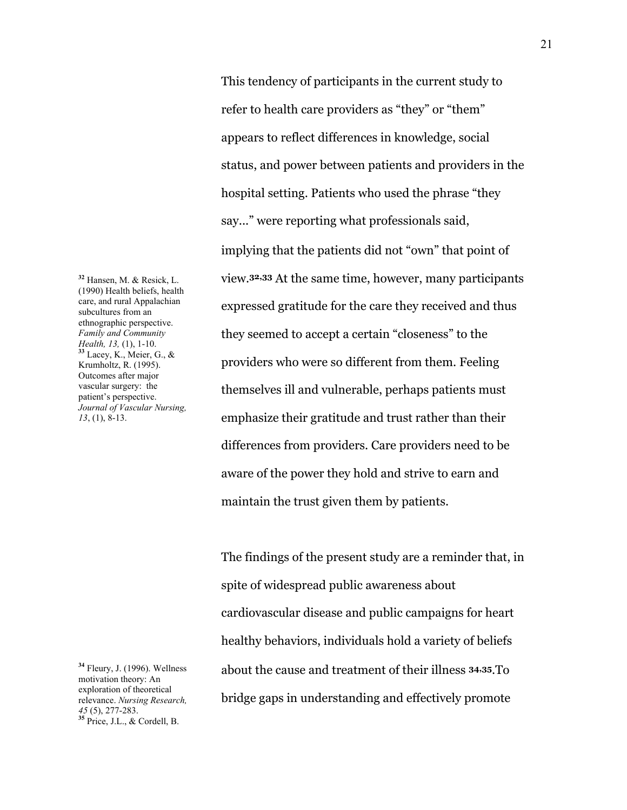**<sup>32</sup>** Hansen, M. & Resick, L. (1990) Health beliefs, health care, and rural Appalachian subcultures from an ethnographic perspective. *Family and Community Health, 13,* (1), 1-10. **<sup>33</sup>** Lacey, K., Meier, G., & Krumholtz, R. (1995). Outcomes after major vascular surgery: the patient's perspective. *Journal of Vascular Nursing, 13*, (1), 8-13.

**<sup>34</sup>** Fleury, J. (1996). Wellness motivation theory: An exploration of theoretical relevance. *Nursing Research, <sup>45</sup>* (5), 277-283. **<sup>35</sup>** Price, J.L., & Cordell, B.

 This tendency of participants in the current study to refer to health care providers as "they" or "them" appears to reflect differences in knowledge, social status, and power between patients and providers in the hospital setting. Patients who used the phrase "they say..." were reporting what professionals said, implying that the patients did not "own" that point of view.**32,33** At the same time, however, many participants expressed gratitude for the care they received and thus they seemed to accept a certain "closeness" to the providers who were so different from them. Feeling themselves ill and vulnerable, perhaps patients must emphasize their gratitude and trust rather than their differences from providers. Care providers need to be aware of the power they hold and strive to earn and maintain the trust given them by patients.

The findings of the present study are a reminder that, in spite of widespread public awareness about cardiovascular disease and public campaigns for heart healthy behaviors, individuals hold a variety of beliefs about the cause and treatment of their illness **34,35**.To bridge gaps in understanding and effectively promote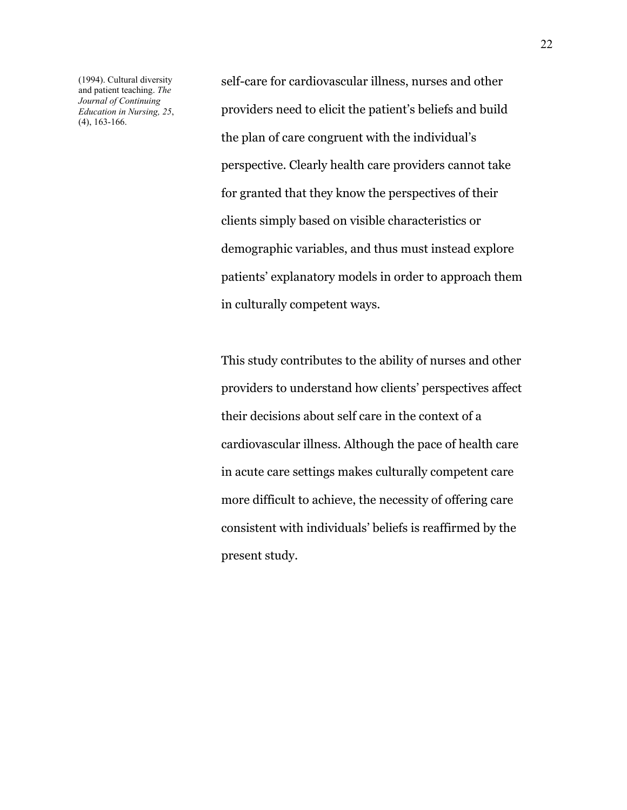(1994). Cultural diversity and patient teaching. *The Journal of Continuing Education in Nursing, 25*, (4), 163-166.

self-care for cardiovascular illness, nurses and other providers need to elicit the patient's beliefs and build the plan of care congruent with the individual's perspective. Clearly health care providers cannot take for granted that they know the perspectives of their clients simply based on visible characteristics or demographic variables, and thus must instead explore patients' explanatory models in order to approach them in culturally competent ways.

This study contributes to the ability of nurses and other providers to understand how clients' perspectives affect their decisions about self care in the context of a cardiovascular illness. Although the pace of health care in acute care settings makes culturally competent care more difficult to achieve, the necessity of offering care consistent with individuals' beliefs is reaffirmed by the present study.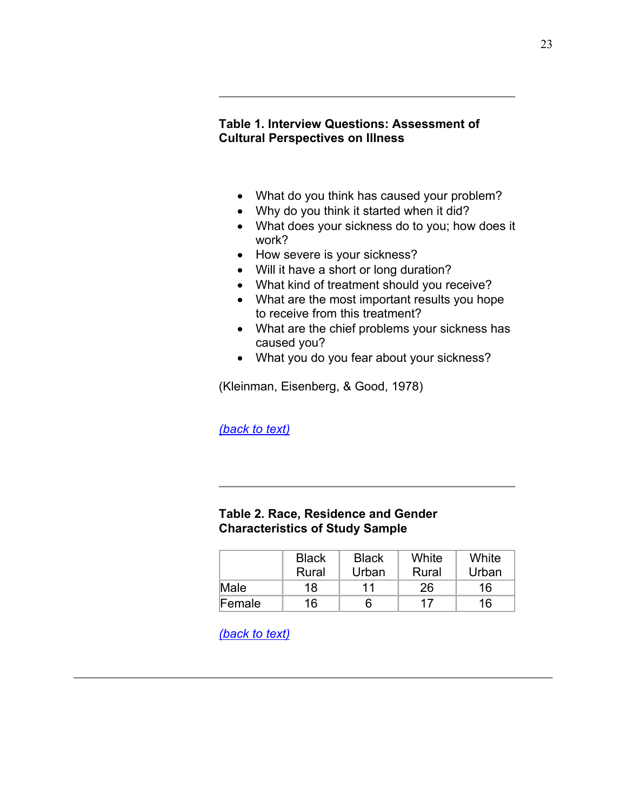## **Table 1. Interview Questions: Assessment of Cultural Perspectives on Illness**

- What do you think has caused your problem?
- Why do you think it started when it did?
- What does your sickness do to you; how does it work?
- How severe is your sickness?
- Will it have a short or long duration?
- What kind of treatment should you receive?
- What are the most important results you hope to receive from this treatment?
- What are the chief problems your sickness has caused you?
- What you do you fear about your sickness?

(Kleinman, Eisenberg, & Good, 1978)

*(back to text)*

### **Table 2. Race, Residence and Gender Characteristics of Study Sample**

|        | <b>Black</b> | <b>Black</b> | White | White |
|--------|--------------|--------------|-------|-------|
|        | Rural        | Urban        | Rural | Urban |
| Male   | 18           | 11           | 26    | 16    |
| Female | 16           | 6            | 17    | 16    |

*(back to text)*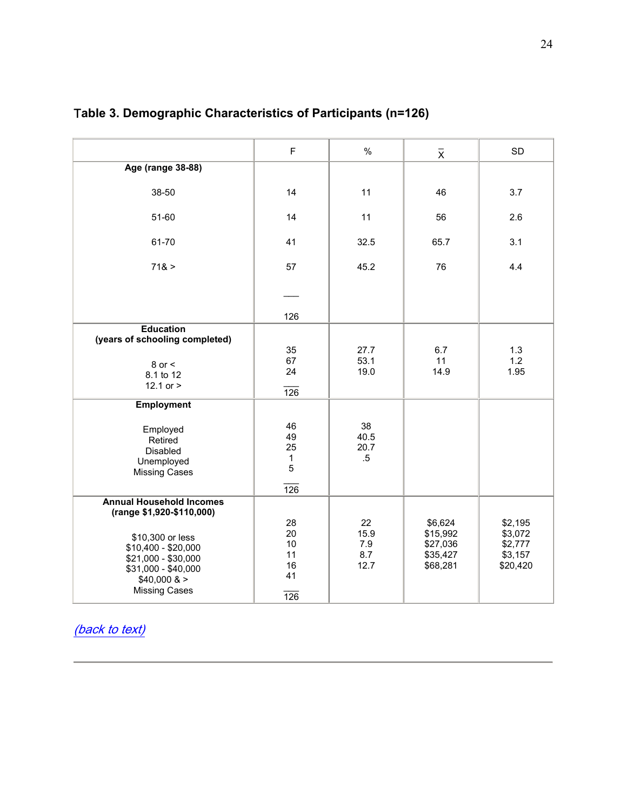|                                                                                                                                                          | $\mathsf F$                                             | $\frac{0}{0}$                    | $\overline{x}$                                          | <b>SD</b>                                            |
|----------------------------------------------------------------------------------------------------------------------------------------------------------|---------------------------------------------------------|----------------------------------|---------------------------------------------------------|------------------------------------------------------|
| <b>Age (range 38-88)</b>                                                                                                                                 |                                                         |                                  |                                                         |                                                      |
| 38-50                                                                                                                                                    | 14                                                      | 11                               | 46                                                      | 3.7                                                  |
| 51-60                                                                                                                                                    | 14                                                      | 11                               | 56                                                      | 2.6                                                  |
| 61-70                                                                                                                                                    | 41                                                      | 32.5                             | 65.7                                                    | 3.1                                                  |
| 718 >                                                                                                                                                    | 57                                                      | 45.2                             | 76                                                      | 4.4                                                  |
|                                                                                                                                                          |                                                         |                                  |                                                         |                                                      |
|                                                                                                                                                          | 126                                                     |                                  |                                                         |                                                      |
| <b>Education</b>                                                                                                                                         |                                                         |                                  |                                                         |                                                      |
| (years of schooling completed)<br>$8$ or $<$<br>8.1 to 12<br>12.1 or $>$                                                                                 | 35<br>67<br>24<br>$\overline{126}$                      | 27.7<br>53.1<br>19.0             | 6.7<br>11<br>14.9                                       | 1.3<br>1.2<br>1.95                                   |
| <b>Employment</b>                                                                                                                                        |                                                         |                                  |                                                         |                                                      |
| Employed<br>Retired<br>Disabled<br>Unemployed<br><b>Missing Cases</b>                                                                                    | 46<br>49<br>25<br>$\mathbf{1}$<br>5<br>$\overline{126}$ | 38<br>40.5<br>20.7<br>$.5\,$     |                                                         |                                                      |
| <b>Annual Household Incomes</b>                                                                                                                          |                                                         |                                  |                                                         |                                                      |
| (range \$1,920-\$110,000)<br>\$10,300 or less<br>\$10,400 - \$20,000<br>\$21,000 - \$30,000<br>\$31,000 - \$40,000<br>\$40,000 ><br><b>Missing Cases</b> | 28<br>20<br>10<br>11<br>16<br>41<br>$\overline{126}$    | 22<br>15.9<br>7.9<br>8.7<br>12.7 | \$6,624<br>\$15,992<br>\$27,036<br>\$35,427<br>\$68,281 | \$2,195<br>\$3,072<br>\$2,777<br>\$3,157<br>\$20,420 |

# T**able 3. Demographic Characteristics of Participants (n=126)**

(back to text)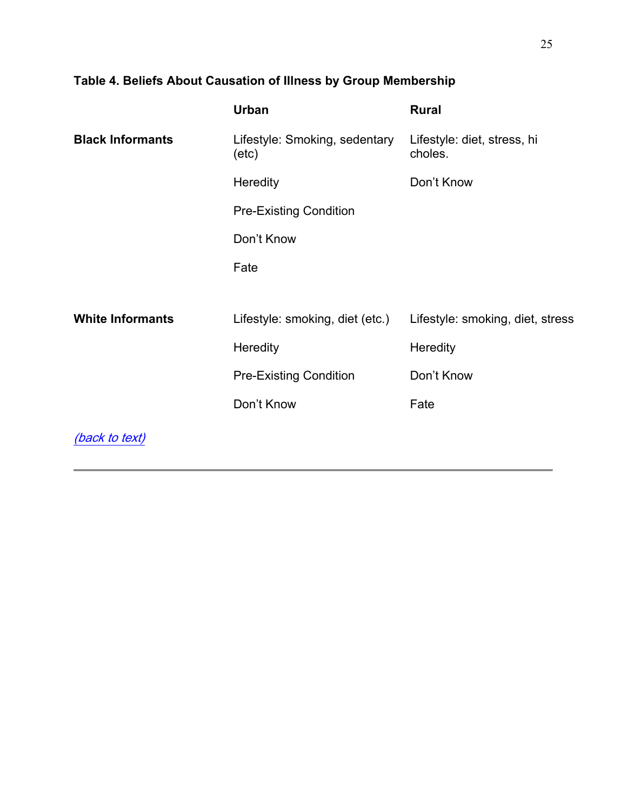# **Table 4. Beliefs About Causation of Illness by Group Membership**

|                         | <b>Urban</b>                           | <b>Rural</b>                           |
|-------------------------|----------------------------------------|----------------------------------------|
| <b>Black Informants</b> | Lifestyle: Smoking, sedentary<br>(etc) | Lifestyle: diet, stress, hi<br>choles. |
|                         | Heredity                               | Don't Know                             |
|                         | <b>Pre-Existing Condition</b>          |                                        |
|                         | Don't Know                             |                                        |
|                         | Fate                                   |                                        |
|                         |                                        |                                        |
| <b>White Informants</b> | Lifestyle: smoking, diet (etc.)        | Lifestyle: smoking, diet, stress       |
|                         | Heredity                               | Heredity                               |
|                         | <b>Pre-Existing Condition</b>          | Don't Know                             |
|                         | Don't Know                             | Fate                                   |
| (back to text)          |                                        |                                        |
|                         |                                        |                                        |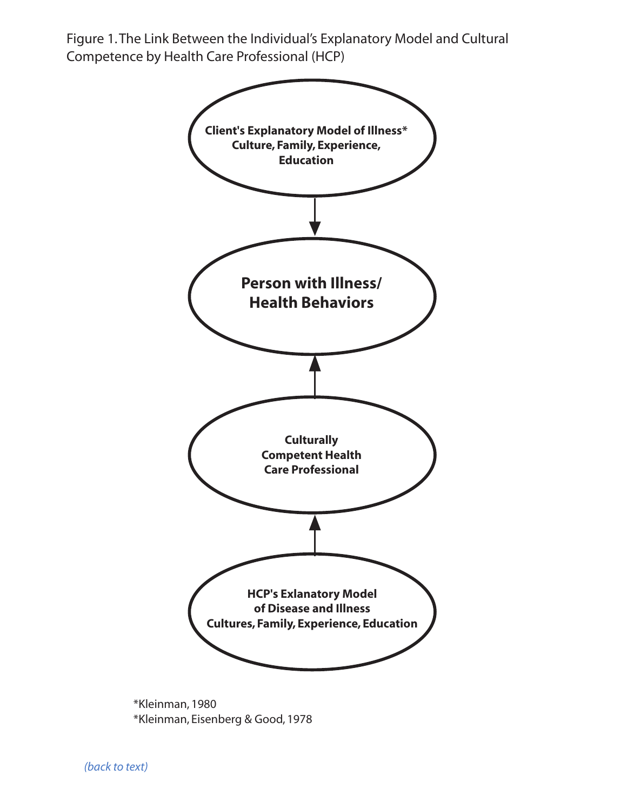Figure 1.The Link Between the Individual's Explanatory Model and Cultural Competence by Health Care Professional (HCP)



\*Kleinman, 1980 \*Kleinman, Eisenberg & Good, 1978